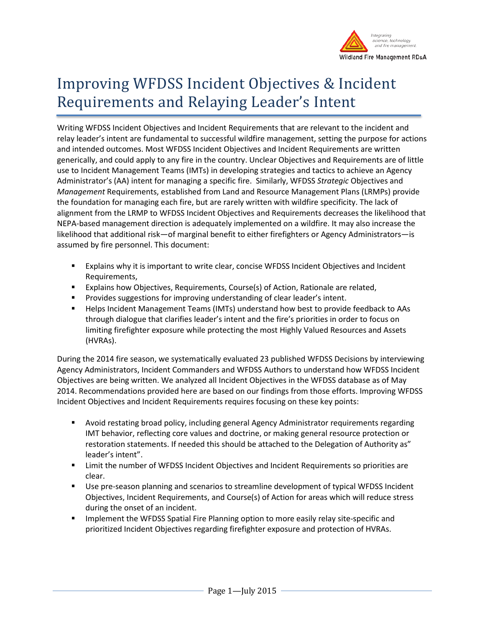

# Improving WFDSS Incident Objectives & Incident Requirements and Relaying Leader's Intent

Writing WFDSS Incident Objectives and Incident Requirements that are relevant to the incident and relay leader's intent are fundamental to successful wildfire management, setting the purpose for actions and intended outcomes. Most WFDSS Incident Objectives and Incident Requirements are written generically, and could apply to any fire in the country. Unclear Objectives and Requirements are of little use to Incident Management Teams (IMTs) in developing strategies and tactics to achieve an Agency Administrator's (AA) intent for managing a specific fire. Similarly, WFDSS *Strategic* Objectives and *Management* Requirements, established from Land and Resource Management Plans (LRMPs) provide the foundation for managing each fire, but are rarely written with wildfire specificity. The lack of alignment from the LRMP to WFDSS Incident Objectives and Requirements decreases the likelihood that NEPA-based management direction is adequately implemented on a wildfire. It may also increase the likelihood that additional risk—of marginal benefit to either firefighters or Agency Administrators—is assumed by fire personnel. This document:

- Explains why it is important to write clear, concise WFDSS Incident Objectives and Incident Requirements,
- **Explains how Objectives, Requirements, Course(s) of Action, Rationale are related,**
- **Provides suggestions for improving understanding of clear leader's intent.**
- Helps Incident Management Teams (IMTs) understand how best to provide feedback to AAs through dialogue that clarifies leader's intent and the fire's priorities in order to focus on limiting firefighter exposure while protecting the most Highly Valued Resources and Assets (HVRAs).

During the 2014 fire season, we systematically evaluated 23 published WFDSS Decisions by interviewing Agency Administrators, Incident Commanders and WFDSS Authors to understand how WFDSS Incident Objectives are being written. We analyzed all Incident Objectives in the WFDSS database as of May 2014. Recommendations provided here are based on our findings from those efforts. Improving WFDSS Incident Objectives and Incident Requirements requires focusing on these key points:

- Avoid restating broad policy, including general Agency Administrator requirements regarding IMT behavior, reflecting core values and doctrine, or making general resource protection or restoration statements. If needed this should be attached to the Delegation of Authority as" leader's intent".
- **EXECT** Limit the number of WFDSS Incident Objectives and Incident Requirements so priorities are clear.
- Use pre-season planning and scenarios to streamline development of typical WFDSS Incident Objectives, Incident Requirements, and Course(s) of Action for areas which will reduce stress during the onset of an incident.
- Implement the WFDSS Spatial Fire Planning option to more easily relay site-specific and prioritized Incident Objectives regarding firefighter exposure and protection of HVRAs.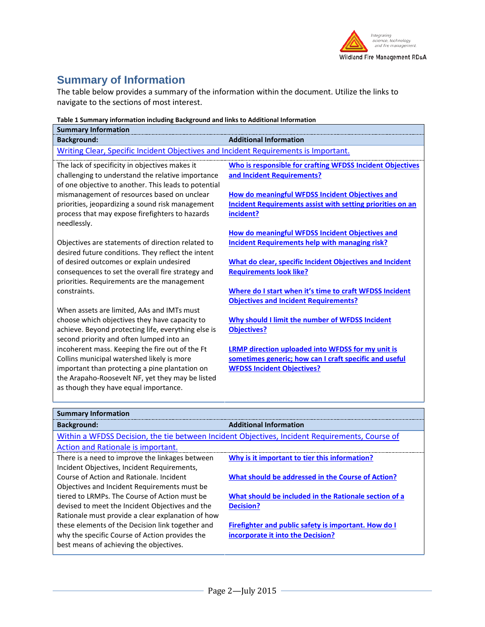

# **Summary of Information**

The table below provides a summary of the information within the document. Utilize the links to navigate to the sections of most interest.

| <b>Summary Information</b>                                                                          |                                                                                                         |  |
|-----------------------------------------------------------------------------------------------------|---------------------------------------------------------------------------------------------------------|--|
| <b>Background:</b>                                                                                  | <b>Additional Information</b>                                                                           |  |
| Writing Clear, Specific Incident Objectives and Incident Requirements is Important.                 |                                                                                                         |  |
| The lack of specificity in objectives makes it                                                      | Who is responsible for crafting WFDSS Incident Objectives                                               |  |
| challenging to understand the relative importance                                                   | and Incident Requirements?                                                                              |  |
| of one objective to another. This leads to potential                                                |                                                                                                         |  |
| mismanagement of resources based on unclear                                                         | How do meaningful WFDSS Incident Objectives and                                                         |  |
| priorities, jeopardizing a sound risk management<br>process that may expose firefighters to hazards | Incident Requirements assist with setting priorities on an<br>incident?                                 |  |
| needlessly.                                                                                         |                                                                                                         |  |
|                                                                                                     | <b>How do meaningful WFDSS Incident Objectives and</b>                                                  |  |
| Objectives are statements of direction related to                                                   | <b>Incident Requirements help with managing risk?</b>                                                   |  |
| desired future conditions. They reflect the intent                                                  |                                                                                                         |  |
| of desired outcomes or explain undesired                                                            | What do clear, specific Incident Objectives and Incident                                                |  |
| consequences to set the overall fire strategy and                                                   | <b>Requirements look like?</b>                                                                          |  |
| priorities. Requirements are the management<br>constraints.                                         |                                                                                                         |  |
|                                                                                                     | Where do I start when it's time to craft WFDSS Incident<br><b>Objectives and Incident Requirements?</b> |  |
| When assets are limited, AAs and IMTs must                                                          |                                                                                                         |  |
| choose which objectives they have capacity to                                                       | Why should I limit the number of WFDSS Incident                                                         |  |
| achieve. Beyond protecting life, everything else is                                                 | <b>Objectives?</b>                                                                                      |  |
| second priority and often lumped into an                                                            |                                                                                                         |  |
| incoherent mass. Keeping the fire out of the Ft                                                     | LRMP direction uploaded into WFDSS for my unit is                                                       |  |
| Collins municipal watershed likely is more                                                          | sometimes generic; how can I craft specific and useful                                                  |  |
| important than protecting a pine plantation on                                                      | <b>WFDSS Incident Objectives?</b>                                                                       |  |
| the Arapaho-Roosevelt NF, yet they may be listed<br>as though they have equal importance.           |                                                                                                         |  |
|                                                                                                     |                                                                                                         |  |

| <b>Summary Information</b>                                                                     |                                                       |  |
|------------------------------------------------------------------------------------------------|-------------------------------------------------------|--|
| <b>Background:</b>                                                                             | <b>Additional Information</b>                         |  |
| Within a WFDSS Decision, the tie between Incident Objectives, Incident Requirements, Course of |                                                       |  |
| Action and Rationale is important.                                                             |                                                       |  |
| There is a need to improve the linkages between                                                | Why is it important to tier this information?         |  |
| Incident Objectives, Incident Requirements,                                                    |                                                       |  |
| Course of Action and Rationale, Incident                                                       | What should be addressed in the Course of Action?     |  |
| Objectives and Incident Requirements must be                                                   |                                                       |  |
| tiered to LRMPs. The Course of Action must be                                                  | What should be included in the Rationale section of a |  |
| devised to meet the Incident Objectives and the                                                | <b>Decision?</b>                                      |  |
| Rationale must provide a clear explanation of how                                              |                                                       |  |
| these elements of the Decision link together and                                               | Firefighter and public safety is important. How do I  |  |
| why the specific Course of Action provides the                                                 | incorporate it into the Decision?                     |  |
| best means of achieving the objectives.                                                        |                                                       |  |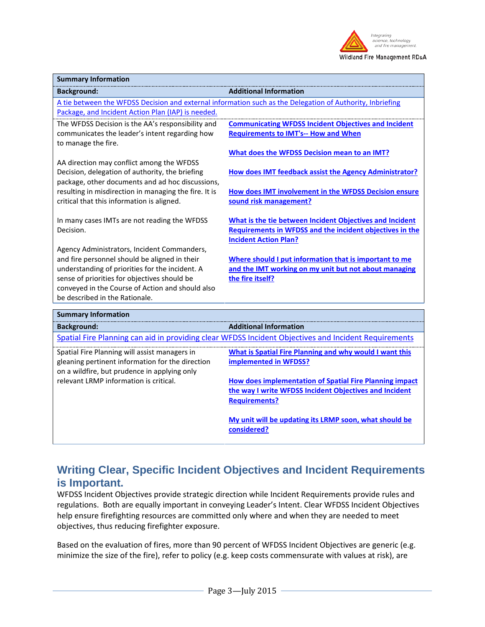

| <b>Summary Information</b>                                                                                |                                                             |  |
|-----------------------------------------------------------------------------------------------------------|-------------------------------------------------------------|--|
| <b>Background:</b>                                                                                        | <b>Additional Information</b>                               |  |
| A tie between the WFDSS Decision and external information such as the Delegation of Authority, Inbriefing |                                                             |  |
| Package, and Incident Action Plan (IAP) is needed.                                                        |                                                             |  |
| The WFDSS Decision is the AA's responsibility and                                                         | <b>Communicating WFDSS Incident Objectives and Incident</b> |  |
| communicates the leader's intent regarding how                                                            | <b>Requirements to IMT's-- How and When</b>                 |  |
| to manage the fire.                                                                                       |                                                             |  |
|                                                                                                           | <b>What does the WFDSS Decision mean to an IMT?</b>         |  |
| AA direction may conflict among the WFDSS                                                                 |                                                             |  |
| Decision, delegation of authority, the briefing                                                           | How does IMT feedback assist the Agency Administrator?      |  |
| package, other documents and ad hoc discussions,                                                          |                                                             |  |
| resulting in misdirection in managing the fire. It is                                                     | How does IMT involvement in the WFDSS Decision ensure       |  |
| critical that this information is aligned.                                                                | sound risk management?                                      |  |
| In many cases IMTs are not reading the WFDSS                                                              | What is the tie between Incident Objectives and Incident    |  |
| Decision.                                                                                                 | Requirements in WFDSS and the incident objectives in the    |  |
|                                                                                                           | <b>Incident Action Plan?</b>                                |  |
| Agency Administrators, Incident Commanders,                                                               |                                                             |  |
| and fire personnel should be aligned in their                                                             | Where should I put information that is important to me      |  |
| understanding of priorities for the incident. A                                                           | and the IMT working on my unit but not about managing       |  |
| sense of priorities for objectives should be                                                              | the fire itself?                                            |  |
| conveyed in the Course of Action and should also                                                          |                                                             |  |
| be described in the Rationale.                                                                            |                                                             |  |
| <b>Summary Information</b>                                                                                |                                                             |  |

| <b>Background:</b>                                                                                                                                | <b>Additional Information</b>                                                                                                             |  |
|---------------------------------------------------------------------------------------------------------------------------------------------------|-------------------------------------------------------------------------------------------------------------------------------------------|--|
| Spatial Fire Planning can aid in providing clear WFDSS Incident Objectives and Incident Requirements                                              |                                                                                                                                           |  |
| Spatial Fire Planning will assist managers in<br>gleaning pertinent information for the direction<br>on a wildfire, but prudence in applying only | What is Spatial Fire Planning and why would I want this<br><b>implemented in WFDSS?</b>                                                   |  |
| relevant LRMP information is critical.                                                                                                            | How does implementation of Spatial Fire Planning impact<br>the way I write WFDSS Incident Objectives and Incident<br><b>Requirements?</b> |  |
|                                                                                                                                                   | My unit will be updating its LRMP soon, what should be<br>considered?                                                                     |  |

# <span id="page-2-0"></span>**Writing Clear, Specific Incident Objectives and Incident Requirements is Important.**

WFDSS Incident Objectives provide strategic direction while Incident Requirements provide rules and regulations. Both are equally important in conveying Leader's Intent. Clear WFDSS Incident Objectives help ensure firefighting resources are committed only where and when they are needed to meet objectives, thus reducing firefighter exposure.

Based on the evaluation of fires, more than 90 percent of WFDSS Incident Objectives are generic (e.g. minimize the size of the fire), refer to policy (e.g. keep costs commensurate with values at risk), are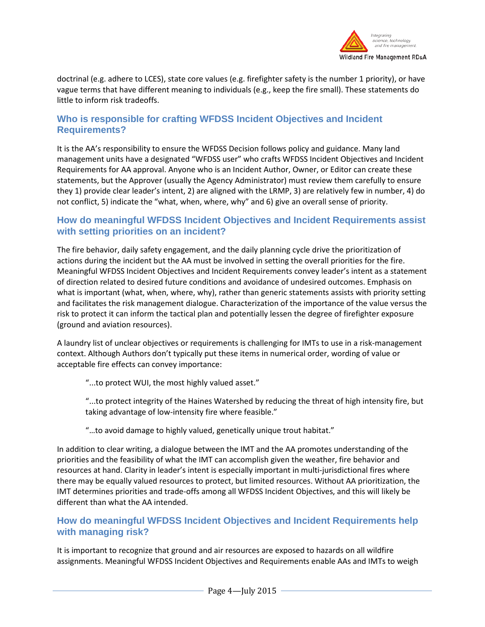

doctrinal (e.g. adhere to LCES), state core values (e.g. firefighter safety is the number 1 priority), or have vague terms that have different meaning to individuals (e.g., keep the fire small). These statements do little to inform risk tradeoffs.

## <span id="page-3-0"></span>**Who is responsible for crafting WFDSS Incident Objectives and Incident Requirements?**

It is the AA's responsibility to ensure the WFDSS Decision follows policy and guidance. Many land management units have a designated "WFDSS user" who crafts WFDSS Incident Objectives and Incident Requirements for AA approval. Anyone who is an Incident Author, Owner, or Editor can create these statements, but the Approver (usually the Agency Administrator) must review them carefully to ensure they 1) provide clear leader's intent, 2) are aligned with the LRMP, 3) are relatively few in number, 4) do not conflict, 5) indicate the "what, when, where, why" and 6) give an overall sense of priority.

## <span id="page-3-1"></span>**How do meaningful WFDSS Incident Objectives and Incident Requirements assist with setting priorities on an incident?**

The fire behavior, daily safety engagement, and the daily planning cycle drive the prioritization of actions during the incident but the AA must be involved in setting the overall priorities for the fire. Meaningful WFDSS Incident Objectives and Incident Requirements convey leader's intent as a statement of direction related to desired future conditions and avoidance of undesired outcomes. Emphasis on what is important (what, when, where, why), rather than generic statements assists with priority setting and facilitates the risk management dialogue. Characterization of the importance of the value versus the risk to protect it can inform the tactical plan and potentially lessen the degree of firefighter exposure (ground and aviation resources).

A laundry list of unclear objectives or requirements is challenging for IMTs to use in a risk-management context. Although Authors don't typically put these items in numerical order, wording of value or acceptable fire effects can convey importance:

"...to protect WUI, the most highly valued asset."

"...to protect integrity of the Haines Watershed by reducing the threat of high intensity fire, but taking advantage of low-intensity fire where feasible."

#### "…to avoid damage to highly valued, genetically unique trout habitat."

In addition to clear writing, a dialogue between the IMT and the AA promotes understanding of the priorities and the feasibility of what the IMT can accomplish given the weather, fire behavior and resources at hand. Clarity in leader's intent is especially important in multi-jurisdictional fires where there may be equally valued resources to protect, but limited resources. Without AA prioritization, the IMT determines priorities and trade-offs among all WFDSS Incident Objectives, and this will likely be different than what the AA intended.

## <span id="page-3-2"></span>**How do meaningful WFDSS Incident Objectives and Incident Requirements help with managing risk?**

It is important to recognize that ground and air resources are exposed to hazards on all wildfire assignments. Meaningful WFDSS Incident Objectives and Requirements enable AAs and IMTs to weigh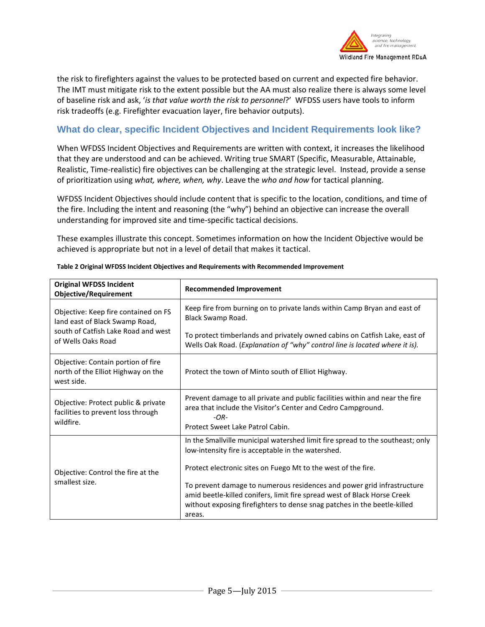

the risk to firefighters against the values to be protected based on current and expected fire behavior. The IMT must mitigate risk to the extent possible but the AA must also realize there is always some level of baseline risk and ask, '*is that value worth the risk to personnel*?' WFDSS users have tools to inform risk tradeoffs (e.g. Firefighter evacuation layer, fire behavior outputs).

# <span id="page-4-0"></span>**What do clear, specific Incident Objectives and Incident Requirements look like?**

When WFDSS Incident Objectives and Requirements are written with context, it increases the likelihood that they are understood and can be achieved. Writing true SMART (Specific, Measurable, Attainable, Realistic, Time-realistic) fire objectives can be challenging at the strategic level. Instead, provide a sense of prioritization using *what, where, when, why*. Leave the *who and how* for tactical planning.

WFDSS Incident Objectives should include content that is specific to the location, conditions, and time of the fire. Including the intent and reasoning (the "why") behind an objective can increase the overall understanding for improved site and time-specific tactical decisions.

These examples illustrate this concept. Sometimes information on how the Incident Objective would be achieved is appropriate but not in a level of detail that makes it tactical.

| <b>Original WFDSS Incident</b><br><b>Objective/Requirement</b>                                                                      | <b>Recommended Improvement</b>                                                                                                                                                                                                                                                                            |  |
|-------------------------------------------------------------------------------------------------------------------------------------|-----------------------------------------------------------------------------------------------------------------------------------------------------------------------------------------------------------------------------------------------------------------------------------------------------------|--|
| Objective: Keep fire contained on FS<br>land east of Black Swamp Road,<br>south of Catfish Lake Road and west<br>of Wells Oaks Road | Keep fire from burning on to private lands within Camp Bryan and east of<br>Black Swamp Road.                                                                                                                                                                                                             |  |
|                                                                                                                                     | To protect timberlands and privately owned cabins on Catfish Lake, east of<br>Wells Oak Road. (Explanation of "why" control line is located where it is).                                                                                                                                                 |  |
| Objective: Contain portion of fire<br>north of the Elliot Highway on the<br>west side.                                              | Protect the town of Minto south of Elliot Highway.                                                                                                                                                                                                                                                        |  |
| Objective: Protect public & private<br>facilities to prevent loss through<br>wildfire.                                              | Prevent damage to all private and public facilities within and near the fire<br>area that include the Visitor's Center and Cedro Campground.<br>$-OR-$<br>Protect Sweet Lake Patrol Cabin.                                                                                                                |  |
| Objective: Control the fire at the<br>smallest size.                                                                                | In the Smallville municipal watershed limit fire spread to the southeast; only<br>low-intensity fire is acceptable in the watershed.                                                                                                                                                                      |  |
|                                                                                                                                     | Protect electronic sites on Fuego Mt to the west of the fire.<br>To prevent damage to numerous residences and power grid infrastructure<br>amid beetle-killed conifers, limit fire spread west of Black Horse Creek<br>without exposing firefighters to dense snag patches in the beetle-killed<br>areas. |  |

**Table 2 Original WFDSS Incident Objectives and Requirements with Recommended Improvement**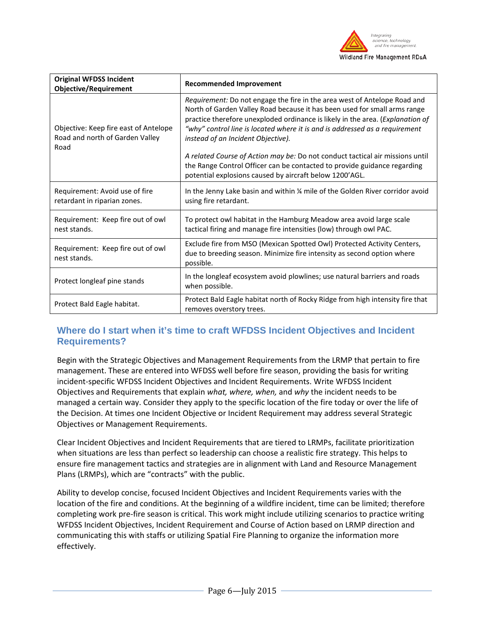

| <b>Original WFDSS Incident</b><br><b>Objective/Requirement</b>                   | <b>Recommended Improvement</b>                                                                                                                                                                                                                                                                                                                                |  |
|----------------------------------------------------------------------------------|---------------------------------------------------------------------------------------------------------------------------------------------------------------------------------------------------------------------------------------------------------------------------------------------------------------------------------------------------------------|--|
| Objective: Keep fire east of Antelope<br>Road and north of Garden Valley<br>Road | Requirement: Do not engage the fire in the area west of Antelope Road and<br>North of Garden Valley Road because it has been used for small arms range<br>practice therefore unexploded ordinance is likely in the area. (Explanation of<br>"why" control line is located where it is and is addressed as a requirement<br>instead of an Incident Objective). |  |
|                                                                                  | A related Course of Action may be: Do not conduct tactical air missions until<br>the Range Control Officer can be contacted to provide guidance regarding<br>potential explosions caused by aircraft below 1200'AGL.                                                                                                                                          |  |
| Requirement: Avoid use of fire<br>retardant in riparian zones.                   | In the Jenny Lake basin and within 1/4 mile of the Golden River corridor avoid<br>using fire retardant.                                                                                                                                                                                                                                                       |  |
| Requirement: Keep fire out of owl<br>nest stands.                                | To protect owl habitat in the Hamburg Meadow area avoid large scale<br>tactical firing and manage fire intensities (low) through owl PAC.                                                                                                                                                                                                                     |  |
| Requirement: Keep fire out of owl<br>nest stands.                                | Exclude fire from MSO (Mexican Spotted Owl) Protected Activity Centers,<br>due to breeding season. Minimize fire intensity as second option where<br>possible.                                                                                                                                                                                                |  |
| Protect longleaf pine stands                                                     | In the longleaf ecosystem avoid plowlines; use natural barriers and roads<br>when possible.                                                                                                                                                                                                                                                                   |  |
| Protect Bald Eagle habitat.                                                      | Protect Bald Eagle habitat north of Rocky Ridge from high intensity fire that<br>removes overstory trees.                                                                                                                                                                                                                                                     |  |

# <span id="page-5-0"></span>**Where do I start when it's time to craft WFDSS Incident Objectives and Incident Requirements?**

Begin with the Strategic Objectives and Management Requirements from the LRMP that pertain to fire management. These are entered into WFDSS well before fire season, providing the basis for writing incident-specific WFDSS Incident Objectives and Incident Requirements. Write WFDSS Incident Objectives and Requirements that explain *what, where, when,* and *why* the incident needs to be managed a certain way. Consider they apply to the specific location of the fire today or over the life of the Decision. At times one Incident Objective or Incident Requirement may address several Strategic Objectives or Management Requirements.

Clear Incident Objectives and Incident Requirements that are tiered to LRMPs, facilitate prioritization when situations are less than perfect so leadership can choose a realistic fire strategy. This helps to ensure fire management tactics and strategies are in alignment with Land and Resource Management Plans (LRMPs), which are "contracts" with the public.

Ability to develop concise, focused Incident Objectives and Incident Requirements varies with the location of the fire and conditions. At the beginning of a wildfire incident, time can be limited; therefore completing work pre-fire season is critical. This work might include utilizing scenarios to practice writing WFDSS Incident Objectives, Incident Requirement and Course of Action based on LRMP direction and communicating this with staffs or utilizing Spatial Fire Planning to organize the information more effectively.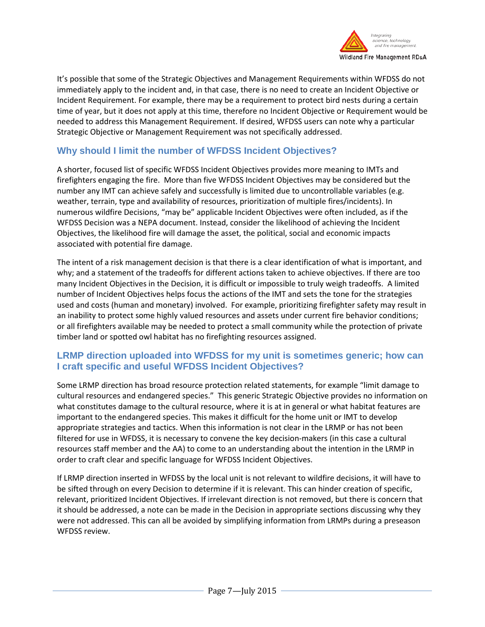

It's possible that some of the Strategic Objectives and Management Requirements within WFDSS do not immediately apply to the incident and, in that case, there is no need to create an Incident Objective or Incident Requirement. For example, there may be a requirement to protect bird nests during a certain time of year, but it does not apply at this time, therefore no Incident Objective or Requirement would be needed to address this Management Requirement. If desired, WFDSS users can note why a particular Strategic Objective or Management Requirement was not specifically addressed.

# <span id="page-6-0"></span>**Why should I limit the number of WFDSS Incident Objectives?**

A shorter, focused list of specific WFDSS Incident Objectives provides more meaning to IMTs and firefighters engaging the fire. More than five WFDSS Incident Objectives may be considered but the number any IMT can achieve safely and successfully is limited due to uncontrollable variables (e.g. weather, terrain, type and availability of resources, prioritization of multiple fires/incidents). In numerous wildfire Decisions, "may be" applicable Incident Objectives were often included, as if the WFDSS Decision was a NEPA document. Instead, consider the likelihood of achieving the Incident Objectives, the likelihood fire will damage the asset, the political, social and economic impacts associated with potential fire damage.

The intent of a risk management decision is that there is a clear identification of what is important, and why; and a statement of the tradeoffs for different actions taken to achieve objectives. If there are too many Incident Objectives in the Decision, it is difficult or impossible to truly weigh tradeoffs. A limited number of Incident Objectives helps focus the actions of the IMT and sets the tone for the strategies used and costs (human and monetary) involved. For example, prioritizing firefighter safety may result in an inability to protect some highly valued resources and assets under current fire behavior conditions; or all firefighters available may be needed to protect a small community while the protection of private timber land or spotted owl habitat has no firefighting resources assigned.

# <span id="page-6-1"></span>**LRMP direction uploaded into WFDSS for my unit is sometimes generic; how can I craft specific and useful WFDSS Incident Objectives?**

Some LRMP direction has broad resource protection related statements, for example "limit damage to cultural resources and endangered species." This generic Strategic Objective provides no information on what constitutes damage to the cultural resource, where it is at in general or what habitat features are important to the endangered species. This makes it difficult for the home unit or IMT to develop appropriate strategies and tactics. When this information is not clear in the LRMP or has not been filtered for use in WFDSS, it is necessary to convene the key decision-makers (in this case a cultural resources staff member and the AA) to come to an understanding about the intention in the LRMP in order to craft clear and specific language for WFDSS Incident Objectives.

If LRMP direction inserted in WFDSS by the local unit is not relevant to wildfire decisions, it will have to be sifted through on every Decision to determine if it is relevant. This can hinder creation of specific, relevant, prioritized Incident Objectives. If irrelevant direction is not removed, but there is concern that it should be addressed, a note can be made in the Decision in appropriate sections discussing why they were not addressed. This can all be avoided by simplifying information from LRMPs during a preseason WFDSS review.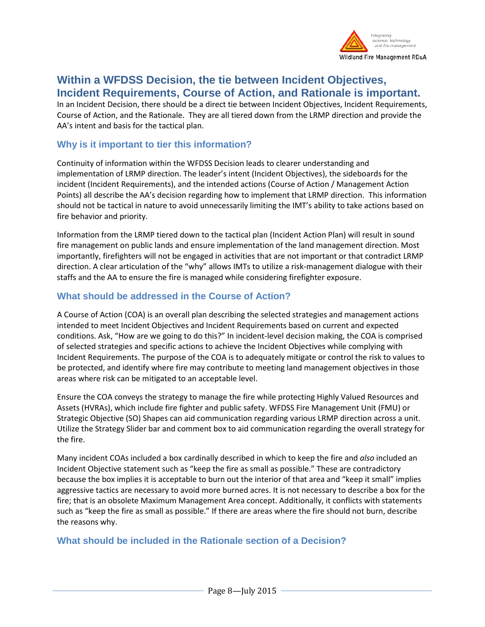<span id="page-7-2"></span>

# <span id="page-7-0"></span>**Within a WFDSS Decision, the tie between Incident Objectives, Incident Requirements, Course of Action, and Rationale is important.**

In an Incident Decision, there should be a direct tie between Incident Objectives, Incident Requirements, Course of Action, and the Rationale. They are all tiered down from the LRMP direction and provide the AA's intent and basis for the tactical plan.

## <span id="page-7-1"></span>**Why is it important to tier this information?**

Continuity of information within the WFDSS Decision leads to clearer understanding and implementation of LRMP direction. The leader's intent (Incident Objectives), the sideboards for the incident (Incident Requirements), and the intended actions (Course of Action / Management Action Points) all describe the AA's decision regarding how to implement that LRMP direction. This information should not be tactical in nature to avoid unnecessarily limiting the IMT's ability to take actions based on fire behavior and priority.

Information from the LRMP tiered down to the tactical plan (Incident Action Plan) will result in sound fire management on public lands and ensure implementation of the land management direction. Most importantly, firefighters will not be engaged in activities that are not important or that contradict LRMP direction. A clear articulation of the "why" allows IMTs to utilize a risk-management dialogue with their staffs and the AA to ensure the fire is managed while considering firefighter exposure.

# **What should be addressed in the Course of Action?**

A Course of Action (COA) is an overall plan describing the selected strategies and management actions intended to meet Incident Objectives and Incident Requirements based on current and expected conditions. Ask, "How are we going to do this?" In incident-level decision making, the COA is comprised of selected strategies and specific actions to achieve the Incident Objectives while complying with Incident Requirements. The purpose of the COA is to adequately mitigate or control the risk to values to be protected, and identify where fire may contribute to meeting land management objectives in those areas where risk can be mitigated to an acceptable level.

Ensure the COA conveys the strategy to manage the fire while protecting Highly Valued Resources and Assets (HVRAs), which include fire fighter and public safety. WFDSS Fire Management Unit (FMU) or Strategic Objective (SO) Shapes can aid communication regarding various LRMP direction across a unit. Utilize the Strategy Slider bar and comment box to aid communication regarding the overall strategy for the fire.

Many incident COAs included a box cardinally described in which to keep the fire and *also* included an Incident Objective statement such as "keep the fire as small as possible." These are contradictory because the box implies it is acceptable to burn out the interior of that area and "keep it small" implies aggressive tactics are necessary to avoid more burned acres. It is not necessary to describe a box for the fire; that is an obsolete Maximum Management Area concept. Additionally, it conflicts with statements such as "keep the fire as small as possible." If there are areas where the fire should not burn, describe the reasons why.

# <span id="page-7-3"></span>**What should be included in the Rationale section of a Decision?**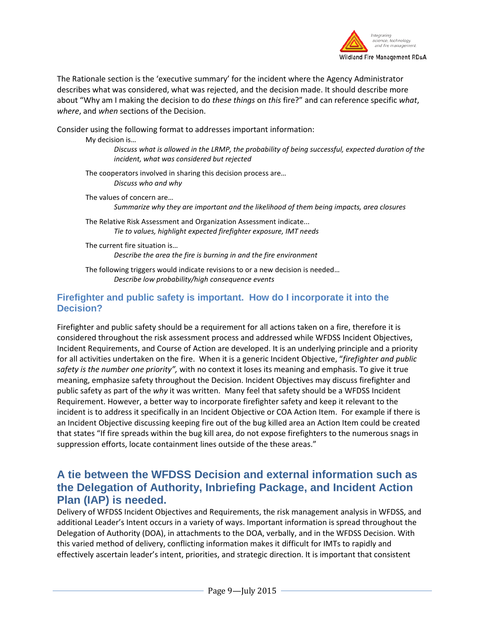

The Rationale section is the 'executive summary' for the incident where the Agency Administrator describes what was considered, what was rejected, and the decision made. It should describe more about "Why am I making the decision to do *these things* on *this* fire?" and can reference specific *what*, *where*, and *when* sections of the Decision.

Consider using the following format to addresses important information:

My decision is…

*Discuss what is allowed in the LRMP, the probability of being successful, expected duration of the incident, what was considered but rejected*

The cooperators involved in sharing this decision process are… *Discuss who and why*

The values of concern are… *Summarize why they are important and the likelihood of them being impacts, area closures*

The Relative Risk Assessment and Organization Assessment indicate... *Tie to values, highlight expected firefighter exposure, IMT needs*

The current fire situation is… *Describe the area the fire is burning in and the fire environment*

<span id="page-8-0"></span>The following triggers would indicate revisions to or a new decision is needed… *Describe low probability/high consequence events*

#### **Firefighter and public safety is important. How do I incorporate it into the Decision?**

Firefighter and public safety should be a requirement for all actions taken on a fire, therefore it is considered throughout the risk assessment process and addressed while WFDSS Incident Objectives, Incident Requirements, and Course of Action are developed. It is an underlying principle and a priority for all activities undertaken on the fire. When it is a generic Incident Objective, "*firefighter and public safety is the number one priority",* with no context it loses its meaning and emphasis. To give it true meaning, emphasize safety throughout the Decision. Incident Objectives may discuss firefighter and public safety as part of the *why* it was written. Many feel that safety should be a WFDSS Incident Requirement. However, a better way to incorporate firefighter safety and keep it relevant to the incident is to address it specifically in an Incident Objective or COA Action Item. For example if there is an Incident Objective discussing keeping fire out of the bug killed area an Action Item could be created that states "If fire spreads within the bug kill area, do not expose firefighters to the numerous snags in suppression efforts, locate containment lines outside of the these areas."

# <span id="page-8-1"></span>**A tie between the WFDSS Decision and external information such as the Delegation of Authority, Inbriefing Package, and Incident Action Plan (IAP) is needed.**

Delivery of WFDSS Incident Objectives and Requirements, the risk management analysis in WFDSS, and additional Leader's Intent occurs in a variety of ways. Important information is spread throughout the Delegation of Authority (DOA), in attachments to the DOA, verbally, and in the WFDSS Decision. With this varied method of delivery, conflicting information makes it difficult for IMTs to rapidly and effectively ascertain leader's intent, priorities, and strategic direction. It is important that consistent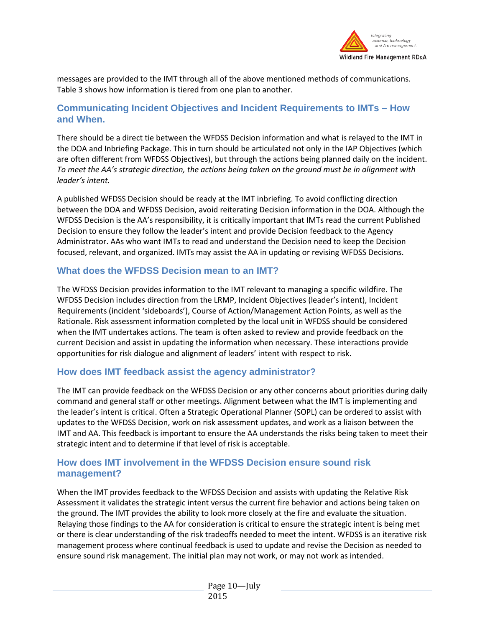

messages are provided to the IMT through all of the above mentioned methods of communications. Table 3 shows how information is tiered from one plan to another.

## <span id="page-9-0"></span>**Communicating Incident Objectives and Incident Requirements to IMTs – How and When.**

There should be a direct tie between the WFDSS Decision information and what is relayed to the IMT in the DOA and Inbriefing Package. This in turn should be articulated not only in the IAP Objectives (which are often different from WFDSS Objectives), but through the actions being planned daily on the incident. *To meet the AA's strategic direction, the actions being taken on the ground must be in alignment with leader's intent.*

A published WFDSS Decision should be ready at the IMT inbriefing. To avoid conflicting direction between the DOA and WFDSS Decision, avoid reiterating Decision information in the DOA. Although the WFDSS Decision is the AA's responsibility, it is critically important that IMTs read the current Published Decision to ensure they follow the leader's intent and provide Decision feedback to the Agency Administrator. AAs who want IMTs to read and understand the Decision need to keep the Decision focused, relevant, and organized. IMTs may assist the AA in updating or revising WFDSS Decisions.

## <span id="page-9-1"></span>**What does the WFDSS Decision mean to an IMT?**

The WFDSS Decision provides information to the IMT relevant to managing a specific wildfire. The WFDSS Decision includes direction from the LRMP, Incident Objectives (leader's intent), Incident Requirements (incident 'sideboards'), Course of Action/Management Action Points, as well as the Rationale. Risk assessment information completed by the local unit in WFDSS should be considered when the IMT undertakes actions. The team is often asked to review and provide feedback on the current Decision and assist in updating the information when necessary. These interactions provide opportunities for risk dialogue and alignment of leaders' intent with respect to risk.

## <span id="page-9-2"></span>**How does IMT feedback assist the agency administrator?**

The IMT can provide feedback on the WFDSS Decision or any other concerns about priorities during daily command and general staff or other meetings. Alignment between what the IMT is implementing and the leader's intent is critical. Often a Strategic Operational Planner (SOPL) can be ordered to assist with updates to the WFDSS Decision, work on risk assessment updates, and work as a liaison between the IMT and AA. This feedback is important to ensure the AA understands the risks being taken to meet their strategic intent and to determine if that level of risk is acceptable.

# <span id="page-9-3"></span>**How does IMT involvement in the WFDSS Decision ensure sound risk management?**

When the IMT provides feedback to the WFDSS Decision and assists with updating the Relative Risk Assessment it validates the strategic intent versus the current fire behavior and actions being taken on the ground. The IMT provides the ability to look more closely at the fire and evaluate the situation. Relaying those findings to the AA for consideration is critical to ensure the strategic intent is being met or there is clear understanding of the risk tradeoffs needed to meet the intent. WFDSS is an iterative risk management process where continual feedback is used to update and revise the Decision as needed to ensure sound risk management. The initial plan may not work, or may not work as intended.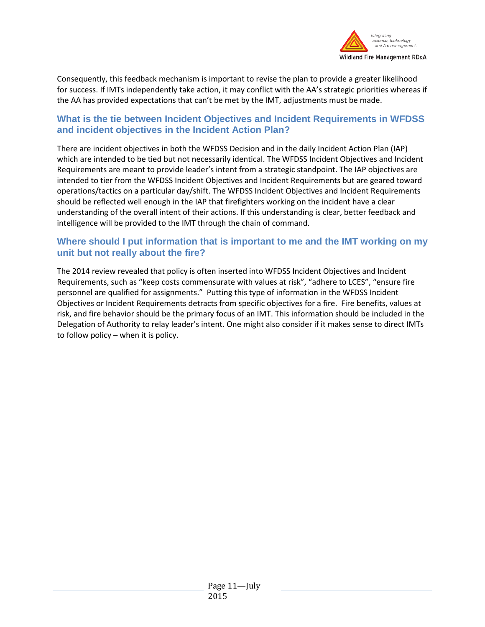<span id="page-10-1"></span>

Consequently, this feedback mechanism is important to revise the plan to provide a greater likelihood for success. If IMTs independently take action, it may conflict with the AA's strategic priorities whereas if the AA has provided expectations that can't be met by the IMT, adjustments must be made.

## <span id="page-10-0"></span>**What is the tie between Incident Objectives and Incident Requirements in WFDSS and incident objectives in the Incident Action Plan?**

There are incident objectives in both the WFDSS Decision and in the daily Incident Action Plan (IAP) which are intended to be tied but not necessarily identical. The WFDSS Incident Objectives and Incident Requirements are meant to provide leader's intent from a strategic standpoint. The IAP objectives are intended to tier from the WFDSS Incident Objectives and Incident Requirements but are geared toward operations/tactics on a particular day/shift. The WFDSS Incident Objectives and Incident Requirements should be reflected well enough in the IAP that firefighters working on the incident have a clear understanding of the overall intent of their actions. If this understanding is clear, better feedback and intelligence will be provided to the IMT through the chain of command.

# **Where should I put information that is important to me and the IMT working on my unit but not really about the fire?**

The 2014 review revealed that policy is often inserted into WFDSS Incident Objectives and Incident Requirements, such as "keep costs commensurate with values at risk", "adhere to LCES", "ensure fire personnel are qualified for assignments." Putting this type of information in the WFDSS Incident Objectives or Incident Requirements detracts from specific objectives for a fire. Fire benefits, values at risk, and fire behavior should be the primary focus of an IMT. This information should be included in the Delegation of Authority to relay leader's intent. One might also consider if it makes sense to direct IMTs to follow policy – when it is policy.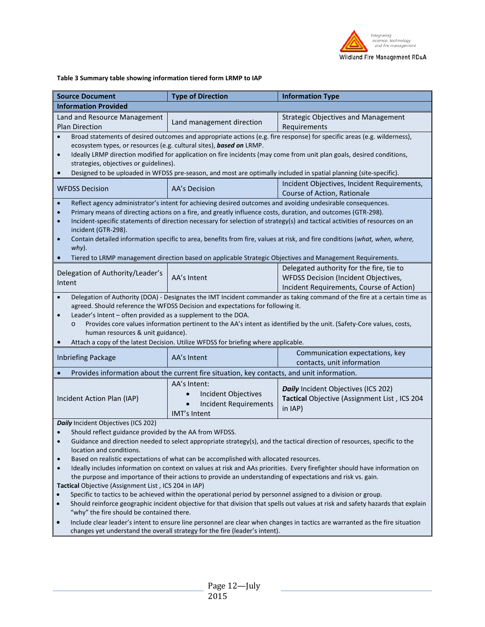

#### **Table 3 Summary table showing information tiered form LRMP to IAP**

<span id="page-11-0"></span>

| <b>Source Document</b>                                                                                                                                                                                                                                                                                                                                                                                                                                                                                                                                                                                                                                                                                                                                                                                                                                                                                                                                                                                                                                                                                                                                                                                                   | <b>Type of Direction</b>                                                                   | <b>Information Type</b>                                                                                                      |  |
|--------------------------------------------------------------------------------------------------------------------------------------------------------------------------------------------------------------------------------------------------------------------------------------------------------------------------------------------------------------------------------------------------------------------------------------------------------------------------------------------------------------------------------------------------------------------------------------------------------------------------------------------------------------------------------------------------------------------------------------------------------------------------------------------------------------------------------------------------------------------------------------------------------------------------------------------------------------------------------------------------------------------------------------------------------------------------------------------------------------------------------------------------------------------------------------------------------------------------|--------------------------------------------------------------------------------------------|------------------------------------------------------------------------------------------------------------------------------|--|
| <b>Information Provided</b>                                                                                                                                                                                                                                                                                                                                                                                                                                                                                                                                                                                                                                                                                                                                                                                                                                                                                                                                                                                                                                                                                                                                                                                              |                                                                                            |                                                                                                                              |  |
| Land and Resource Management<br><b>Plan Direction</b>                                                                                                                                                                                                                                                                                                                                                                                                                                                                                                                                                                                                                                                                                                                                                                                                                                                                                                                                                                                                                                                                                                                                                                    | Land management direction                                                                  | <b>Strategic Objectives and Management</b><br>Requirements                                                                   |  |
| Broad statements of desired outcomes and appropriate actions (e.g. fire response) for specific areas (e.g. wilderness),<br>ecosystem types, or resources (e.g. cultural sites), based on LRMP.<br>Ideally LRMP direction modified for application on fire incidents (may come from unit plan goals, desired conditions,<br>$\bullet$<br>strategies, objectives or guidelines).                                                                                                                                                                                                                                                                                                                                                                                                                                                                                                                                                                                                                                                                                                                                                                                                                                           |                                                                                            |                                                                                                                              |  |
|                                                                                                                                                                                                                                                                                                                                                                                                                                                                                                                                                                                                                                                                                                                                                                                                                                                                                                                                                                                                                                                                                                                                                                                                                          |                                                                                            | Designed to be uploaded in WFDSS pre-season, and most are optimally included in spatial planning (site-specific).            |  |
| <b>WFDSS Decision</b>                                                                                                                                                                                                                                                                                                                                                                                                                                                                                                                                                                                                                                                                                                                                                                                                                                                                                                                                                                                                                                                                                                                                                                                                    | AA's Decision                                                                              | Incident Objectives, Incident Requirements,<br>Course of Action, Rationale                                                   |  |
| $\bullet$<br>Reflect agency administrator's intent for achieving desired outcomes and avoiding undesirable consequences.<br>Primary means of directing actions on a fire, and greatly influence costs, duration, and outcomes (GTR-298).<br>$\bullet$<br>Incident-specific statements of direction necessary for selection of strategy(s) and tactical activities of resources on an<br>$\bullet$<br>incident (GTR-298).<br>Contain detailed information specific to area, benefits from fire, values at risk, and fire conditions (what, when, where,<br>$\bullet$<br>why).<br>Tiered to LRMP management direction based on applicable Strategic Objectives and Management Requirements.                                                                                                                                                                                                                                                                                                                                                                                                                                                                                                                                |                                                                                            |                                                                                                                              |  |
| Delegation of Authority/Leader's<br>Intent                                                                                                                                                                                                                                                                                                                                                                                                                                                                                                                                                                                                                                                                                                                                                                                                                                                                                                                                                                                                                                                                                                                                                                               | AA's Intent                                                                                | Delegated authority for the fire, tie to<br>WFDSS Decision (Incident Objectives,<br>Incident Requirements, Course of Action) |  |
| Delegation of Authority (DOA) - Designates the IMT Incident commander as taking command of the fire at a certain time as<br>agreed. Should reference the WFDSS Decision and expectations for following it.<br>Leader's Intent - often provided as a supplement to the DOA.<br>$\bullet$<br>Provides core values information pertinent to the AA's intent as identified by the unit. (Safety-Core values, costs,<br>$\circ$<br>human resources & unit guidance).<br>Attach a copy of the latest Decision. Utilize WFDSS for briefing where applicable.                                                                                                                                                                                                                                                                                                                                                                                                                                                                                                                                                                                                                                                                    |                                                                                            |                                                                                                                              |  |
| <b>Inbriefing Package</b>                                                                                                                                                                                                                                                                                                                                                                                                                                                                                                                                                                                                                                                                                                                                                                                                                                                                                                                                                                                                                                                                                                                                                                                                | AA's Intent                                                                                | Communication expectations, key<br>contacts, unit information                                                                |  |
|                                                                                                                                                                                                                                                                                                                                                                                                                                                                                                                                                                                                                                                                                                                                                                                                                                                                                                                                                                                                                                                                                                                                                                                                                          | Provides information about the current fire situation, key contacts, and unit information. |                                                                                                                              |  |
| Incident Action Plan (IAP)                                                                                                                                                                                                                                                                                                                                                                                                                                                                                                                                                                                                                                                                                                                                                                                                                                                                                                                                                                                                                                                                                                                                                                                               | AA's Intent:<br>Incident Objectives<br><b>Incident Requirements</b><br>IMT's Intent        | Daily Incident Objectives (ICS 202)<br>Tactical Objective (Assignment List, ICS 204<br>in IAP)                               |  |
| Daily Incident Objectives (ICS 202)<br>Should reflect guidance provided by the AA from WFDSS.<br>Guidance and direction needed to select appropriate strategy(s), and the tactical direction of resources, specific to the<br>location and conditions.<br>Based on realistic expectations of what can be accomplished with allocated resources.<br>$\bullet$<br>Ideally includes information on context on values at risk and AAs priorities. Every firefighter should have information on<br>the purpose and importance of their actions to provide an understanding of expectations and risk vs. gain.<br>Tactical Objective (Assignment List, ICS 204 in IAP)<br>Specific to tactics to be achieved within the operational period by personnel assigned to a division or group.<br>$\bullet$<br>Should reinforce geographic incident objective for that division that spells out values at risk and safety hazards that explain<br>$\bullet$<br>"why" the fire should be contained there.<br>Include clear leader's intent to ensure line personnel are clear when changes in tactics are warranted as the fire situation<br>$\bullet$<br>changes yet understand the overall strategy for the fire (leader's intent). |                                                                                            |                                                                                                                              |  |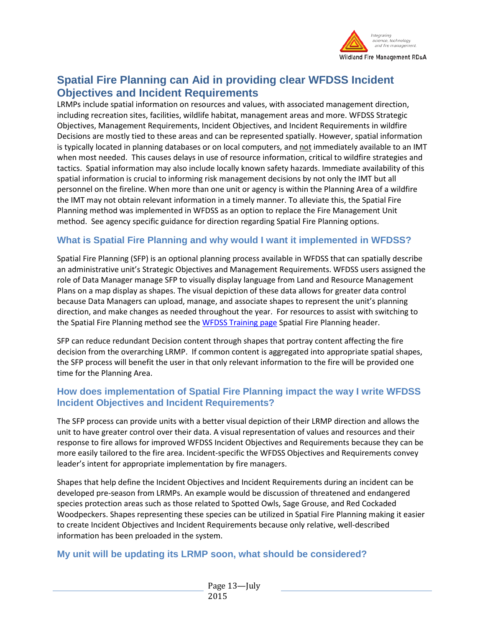

# **Spatial Fire Planning can Aid in providing clear WFDSS Incident Objectives and Incident Requirements**

LRMPs include spatial information on resources and values, with associated management direction, including recreation sites, facilities, wildlife habitat, management areas and more. WFDSS Strategic Objectives, Management Requirements, Incident Objectives, and Incident Requirements in wildfire Decisions are mostly tied to these areas and can be represented spatially. However, spatial information is typically located in planning databases or on local computers, and not immediately available to an IMT when most needed. This causes delays in use of resource information, critical to wildfire strategies and tactics. Spatial information may also include locally known safety hazards. Immediate availability of this spatial information is crucial to informing risk management decisions by not only the IMT but all personnel on the fireline. When more than one unit or agency is within the Planning Area of a wildfire the IMT may not obtain relevant information in a timely manner. To alleviate this, the Spatial Fire Planning method was implemented in WFDSS as an option to replace the Fire Management Unit method. See agency specific guidance for direction regarding Spatial Fire Planning options.

# <span id="page-12-0"></span>**What is Spatial Fire Planning and why would I want it implemented in WFDSS?**

Spatial Fire Planning (SFP) is an optional planning process available in WFDSS that can spatially describe an administrative unit's Strategic Objectives and Management Requirements. WFDSS users assigned the role of Data Manager manage SFP to visually display language from Land and Resource Management Plans on a map display as shapes. The visual depiction of these data allows for greater data control because Data Managers can upload, manage, and associate shapes to represent the unit's planning direction, and make changes as needed throughout the year. For resources to assist with switching to the Spatial Fire Planning method see the [WFDSS Training page](http://wfdss.usgs.gov/wfdss/WFDSS_Training.shtml) Spatial Fire Planning header.

SFP can reduce redundant Decision content through shapes that portray content affecting the fire decision from the overarching LRMP. If common content is aggregated into appropriate spatial shapes, the SFP process will benefit the user in that only relevant information to the fire will be provided one time for the Planning Area.

# <span id="page-12-1"></span>**How does implementation of Spatial Fire Planning impact the way I write WFDSS Incident Objectives and Incident Requirements?**

The SFP process can provide units with a better visual depiction of their LRMP direction and allows the unit to have greater control over their data. A visual representation of values and resources and their response to fire allows for improved WFDSS Incident Objectives and Requirements because they can be more easily tailored to the fire area. Incident-specific the WFDSS Objectives and Requirements convey leader's intent for appropriate implementation by fire managers.

Shapes that help define the Incident Objectives and Incident Requirements during an incident can be developed pre-season from LRMPs. An example would be discussion of threatened and endangered species protection areas such as those related to Spotted Owls, Sage Grouse, and Red Cockaded Woodpeckers. Shapes representing these species can be utilized in Spatial Fire Planning making it easier to create Incident Objectives and Incident Requirements because only relative, well-described information has been preloaded in the system.

## <span id="page-12-2"></span>**My unit will be updating its LRMP soon, what should be considered?**